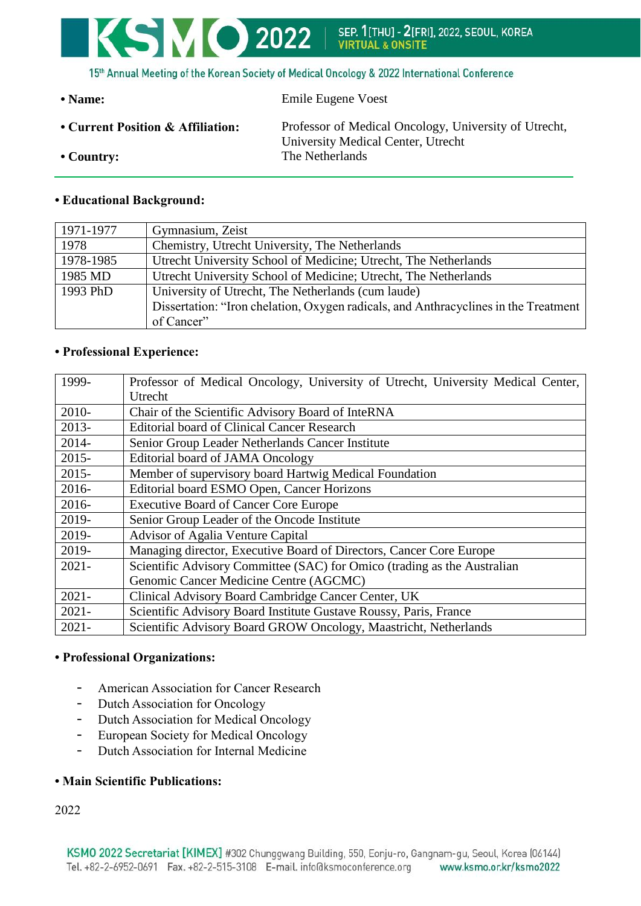

15th Annual Meeting of the Korean Society of Medical Oncology & 2022 International Conference

| $\cdot$ Name:                     | Emile Eugene Voest                                                                          |
|-----------------------------------|---------------------------------------------------------------------------------------------|
| • Current Position & Affiliation: | Professor of Medical Oncology, University of Utrecht,<br>University Medical Center, Utrecht |
| $\cdot$ Country:                  | The Netherlands                                                                             |

## **• Educational Background:**

| 1971-1977 | Gymnasium, Zeist                                                                    |
|-----------|-------------------------------------------------------------------------------------|
| 1978      | Chemistry, Utrecht University, The Netherlands                                      |
| 1978-1985 | Utrecht University School of Medicine; Utrecht, The Netherlands                     |
| 1985 MD   | Utrecht University School of Medicine; Utrecht, The Netherlands                     |
| 1993 PhD  | University of Utrecht, The Netherlands (cum laude)                                  |
|           | Dissertation: "Iron chelation, Oxygen radicals, and Anthracyclines in the Treatment |
|           | of Cancer"                                                                          |

## **• Professional Experience:**

| 1999-    | Professor of Medical Oncology, University of Utrecht, University Medical Center, |
|----------|----------------------------------------------------------------------------------|
|          | Utrecht                                                                          |
| 2010-    | Chair of the Scientific Advisory Board of InteRNA                                |
| $2013-$  | <b>Editorial board of Clinical Cancer Research</b>                               |
| 2014-    | Senior Group Leader Netherlands Cancer Institute                                 |
| $2015 -$ | Editorial board of JAMA Oncology                                                 |
| $2015 -$ | Member of supervisory board Hartwig Medical Foundation                           |
| 2016-    | Editorial board ESMO Open, Cancer Horizons                                       |
| 2016-    | <b>Executive Board of Cancer Core Europe</b>                                     |
| 2019-    | Senior Group Leader of the Oncode Institute                                      |
| 2019-    | Advisor of Agalia Venture Capital                                                |
| 2019-    | Managing director, Executive Board of Directors, Cancer Core Europe              |
| $2021 -$ | Scientific Advisory Committee (SAC) for Omico (trading as the Australian         |
|          | Genomic Cancer Medicine Centre (AGCMC)                                           |
| $2021 -$ | Clinical Advisory Board Cambridge Cancer Center, UK                              |
| $2021 -$ | Scientific Advisory Board Institute Gustave Roussy, Paris, France                |
| $2021 -$ | Scientific Advisory Board GROW Oncology, Maastricht, Netherlands                 |

### **• Professional Organizations:**

- American Association for Cancer Research
- Dutch Association for Oncology
- Dutch Association for Medical Oncology
- European Society for Medical Oncology
- Dutch Association for Internal Medicine

# **• Main Scientific Publications:**

2022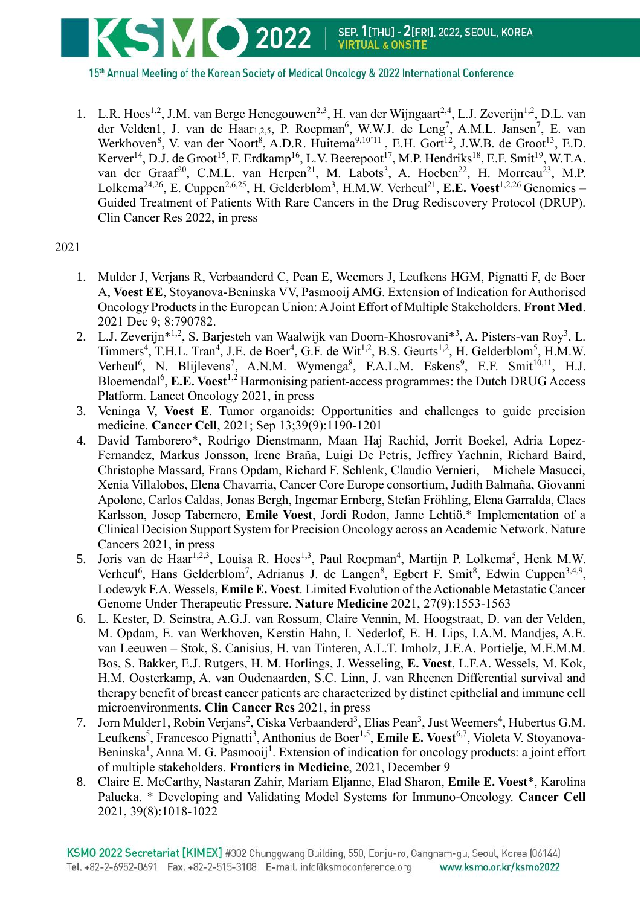

15th Annual Meeting of the Korean Society of Medical Oncology & 2022 International Conference

1. L.R. Hoes<sup>1,2</sup>, J.M. van Berge Henegouwen<sup>2,3</sup>, H. van der Wijngaart<sup>2,4</sup>, L.J. Zeverijn<sup>1,2</sup>, D.L. van der Velden1, J. van de Haar<sub>1,2,5</sub>, P. Roepman<sup>6</sup>, W.W.J. de Leng<sup>7</sup>, A.M.L. Jansen<sup>7</sup>, E. van Werkhoven<sup>8</sup>, V. van der Noort<sup>8</sup>, A.D.R. Huitema<sup>9,10'11</sup>, E.H. Gort<sup>12</sup>, J.W.B. de Groot<sup>13</sup>, E.D. Kerver<sup>14</sup>, D.J. de Groot<sup>15</sup>, F. Erdkamp<sup>16</sup>, L.V. Beerepoot<sup>17</sup>, M.P. Hendriks<sup>18</sup>, E.F. Smit<sup>19</sup>, W.T.A. van der Graaf<sup>20</sup>, C.M.L. van Herpen<sup>21</sup>, M. Labots<sup>3</sup>, A. Hoeben<sup>22</sup>, H. Morreau<sup>23</sup>, M.P. Lolkema<sup>24,26</sup>, E. Cuppen<sup>2,6,25</sup>, H. Gelderblom<sup>3</sup>, H.M.W. Verheul<sup>21</sup>, E.E. Voest<sup>1,2,26</sup> Genomics – Guided Treatment of Patients With Rare Cancers in the Drug Rediscovery Protocol (DRUP). Clin Cancer Res 2022, in press

2021

- 1. Mulder J, Verjans R, Verbaanderd C, Pean E, Weemers J, Leufkens HGM, Pignatti F, de Boer A, **Voest EE**, Stoyanova-Beninska VV, Pasmooij AMG. Extension of Indication for Authorised Oncology Products in the European Union: A Joint Effort of Multiple Stakeholders. **Front Med**. 2021 Dec 9; 8:790782.
- 2. L.J. Zeverijn\*<sup>1,2</sup>, S. Barjesteh van Waalwijk van Doorn-Khosrovani\*<sup>3</sup>, A. Pisters-van Roy<sup>3</sup>, L. Timmers<sup>4</sup>, T.H.L. Tran<sup>4</sup>, J.E. de Boer<sup>4</sup>, G.F. de Wit<sup>1,2</sup>, B.S. Geurts<sup>1,2</sup>, H. Gelderblom<sup>5</sup>, H.M.W. Verheul<sup>6</sup>, N. Blijlevens<sup>7</sup>, A.N.M. Wymenga<sup>8</sup>, F.A.L.M. Eskens<sup>9</sup>, E.F. Smit<sup>10,11</sup>, H.J. Bloemendal<sup>6</sup>, **E.E. Voest**<sup>1,2</sup> Harmonising patient-access programmes: the Dutch DRUG Access Platform. Lancet Oncology 2021, in press
- 3. Veninga V, **Voest E**. Tumor organoids: Opportunities and challenges to guide precision medicine. **Cancer Cell**, 2021; Sep 13;39(9):1190-1201
- 4. David Tamborero\*, Rodrigo Dienstmann, Maan Haj Rachid, Jorrit Boekel, Adria Lopez-Fernandez, Markus Jonsson, Irene Braña, Luigi De Petris, Jeffrey Yachnin, Richard Baird, Christophe Massard, Frans Opdam, Richard F. Schlenk, Claudio Vernieri, Michele Masucci, Xenia Villalobos, Elena Chavarria, Cancer Core Europe consortium, Judith Balmaña, Giovanni Apolone, Carlos Caldas, Jonas Bergh, Ingemar Ernberg, Stefan Fröhling, Elena Garralda, Claes Karlsson, Josep Tabernero, **Emile Voest**, Jordi Rodon, Janne Lehtiö.\* Implementation of a Clinical Decision Support System for Precision Oncology across an Academic Network. Nature Cancers 2021, in press
- 5. Joris van de Haar<sup>1,2,3</sup>, Louisa R. Hoes<sup>1,3</sup>, Paul Roepman<sup>4</sup>, Martijn P. Lolkema<sup>5</sup>, Henk M.W. Verheul<sup>6</sup>, Hans Gelderblom<sup>7</sup>, Adrianus J. de Langen<sup>8</sup>, Egbert F. Smit<sup>8</sup>, Edwin Cuppen<sup>3,4,9</sup>, Lodewyk F.A. Wessels, **Emile E. Voest**. Limited Evolution of the Actionable Metastatic Cancer Genome Under Therapeutic Pressure. **Nature Medicine** 2021, 27(9):1553-1563
- 6. L. Kester, D. Seinstra, A.G.J. van Rossum, Claire Vennin, M. Hoogstraat, D. van der Velden, M. Opdam, E. van Werkhoven, Kerstin Hahn, I. Nederlof, E. H. Lips, I.A.M. Mandjes, A.E. van Leeuwen – Stok, S. Canisius, H. van Tinteren, A.L.T. Imholz, J.E.A. Portielje, M.E.M.M. Bos, S. Bakker, E.J. Rutgers, H. M. Horlings, J. Wesseling, **E. Voest**, L.F.A. Wessels, M. Kok, H.M. Oosterkamp, A. van Oudenaarden, S.C. Linn, J. van Rheenen Differential survival and therapy benefit of breast cancer patients are characterized by distinct epithelial and immune cell microenvironments. **Clin Cancer Res** 2021, in press
- 7. Jorn Mulder1, Robin Verjans<sup>2</sup>, Ciska Verbaanderd<sup>3</sup>, Elias Pean<sup>3</sup>, Just Weemers<sup>4</sup>, Hubertus G.M. Leufkens<sup>5</sup>, Francesco Pignatti<sup>3</sup>, Anthonius de Boer<sup>1,5</sup>, Emile E. Voest<sup>6,7</sup>, Violeta V. Stoyanova-Beninska<sup>1</sup>, Anna M. G. Pasmooij<sup>1</sup>. Extension of indication for oncology products: a joint effort of multiple stakeholders. **Frontiers in Medicine**, 2021, December 9
- 8. Claire E. McCarthy, Nastaran Zahir, Mariam Eljanne, Elad Sharon, **Emile E. Voest**\*, Karolina Palucka. \* Developing and Validating Model Systems for Immuno-Oncology. **Cancer Cell** 2021, 39(8):1018-1022